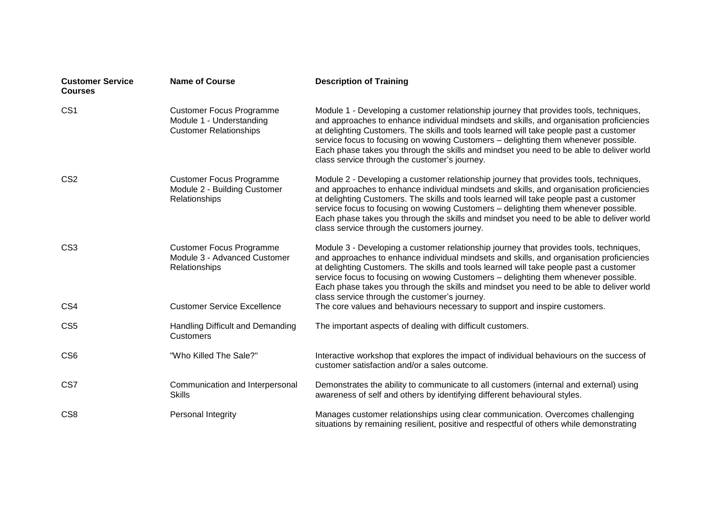| <b>Customer Service</b><br><b>Courses</b> | <b>Name of Course</b>                                                                        | <b>Description of Training</b>                                                                                                                                                                                                                                                                                                                                                                                                                                                                                  |
|-------------------------------------------|----------------------------------------------------------------------------------------------|-----------------------------------------------------------------------------------------------------------------------------------------------------------------------------------------------------------------------------------------------------------------------------------------------------------------------------------------------------------------------------------------------------------------------------------------------------------------------------------------------------------------|
| CS <sub>1</sub>                           | <b>Customer Focus Programme</b><br>Module 1 - Understanding<br><b>Customer Relationships</b> | Module 1 - Developing a customer relationship journey that provides tools, techniques,<br>and approaches to enhance individual mindsets and skills, and organisation proficiencies<br>at delighting Customers. The skills and tools learned will take people past a customer<br>service focus to focusing on wowing Customers - delighting them whenever possible.<br>Each phase takes you through the skills and mindset you need to be able to deliver world<br>class service through the customer's journey. |
| CS <sub>2</sub>                           | <b>Customer Focus Programme</b><br>Module 2 - Building Customer<br>Relationships             | Module 2 - Developing a customer relationship journey that provides tools, techniques,<br>and approaches to enhance individual mindsets and skills, and organisation proficiencies<br>at delighting Customers. The skills and tools learned will take people past a customer<br>service focus to focusing on wowing Customers - delighting them whenever possible.<br>Each phase takes you through the skills and mindset you need to be able to deliver world<br>class service through the customers journey.  |
| CS <sub>3</sub>                           | <b>Customer Focus Programme</b><br>Module 3 - Advanced Customer<br>Relationships             | Module 3 - Developing a customer relationship journey that provides tools, techniques,<br>and approaches to enhance individual mindsets and skills, and organisation proficiencies<br>at delighting Customers. The skills and tools learned will take people past a customer<br>service focus to focusing on wowing Customers - delighting them whenever possible.<br>Each phase takes you through the skills and mindset you need to be able to deliver world<br>class service through the customer's journey. |
| CS4                                       | <b>Customer Service Excellence</b>                                                           | The core values and behaviours necessary to support and inspire customers.                                                                                                                                                                                                                                                                                                                                                                                                                                      |
| CS <sub>5</sub>                           | Handling Difficult and Demanding<br>Customers                                                | The important aspects of dealing with difficult customers.                                                                                                                                                                                                                                                                                                                                                                                                                                                      |
| CS <sub>6</sub>                           | "Who Killed The Sale?"                                                                       | Interactive workshop that explores the impact of individual behaviours on the success of<br>customer satisfaction and/or a sales outcome.                                                                                                                                                                                                                                                                                                                                                                       |
| CS7                                       | Communication and Interpersonal<br><b>Skills</b>                                             | Demonstrates the ability to communicate to all customers (internal and external) using<br>awareness of self and others by identifying different behavioural styles.                                                                                                                                                                                                                                                                                                                                             |
| CS <sub>8</sub>                           | Personal Integrity                                                                           | Manages customer relationships using clear communication. Overcomes challenging<br>situations by remaining resilient, positive and respectful of others while demonstrating                                                                                                                                                                                                                                                                                                                                     |